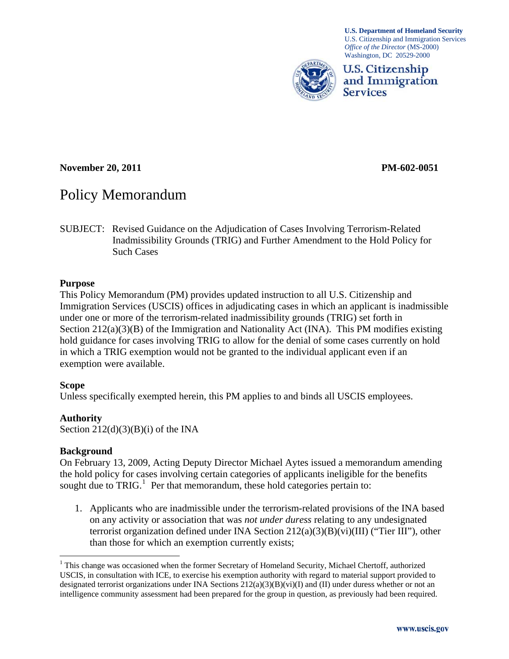

**U.S. Department of Homeland Security**  U.S. Citizenship and Immigration Services *Office of the Director* (MS-2000) Washington, DC 20529-2000



### **November 20, 2011 PM-602-0051**

# Policy Memorandum

SUBJECT: Revised Guidance on the Adjudication of Cases Involving Terrorism-Related Inadmissibility Grounds (TRIG) and Further Amendment to the Hold Policy for Such Cases

### **Purpose**

This Policy Memorandum (PM) provides updated instruction to all U.S. Citizenship and Immigration Services (USCIS) offices in adjudicating cases in which an applicant is inadmissible under one or more of the terrorism-related inadmissibility grounds (TRIG) set forth in Section 212(a)(3)(B) of the Immigration and Nationality Act (INA). This PM modifies existing hold guidance for cases involving TRIG to allow for the denial of some cases currently on hold in which a TRIG exemption would not be granted to the individual applicant even if an exemption were available.

### **Scope**

Unless specifically exempted herein, this PM applies to and binds all USCIS employees.

### **Authority**

Section  $212(d)(3)(B)(i)$  of the INA

### **Background**

On February 13, 2009, Acting Deputy Director Michael Aytes issued a memorandum amending the hold policy for cases involving certain categories of applicants ineligible for the benefits sought due to  $TRIG<sup>1</sup>$  Per that memorandum, these hold categories pertain to:

1. Applicants who are inadmissible under the terrorism-related provisions of the INA based on any activity or association that was *not under duress* relating to any undesignated terrorist organization defined under INA Section 212(a)(3)(B)(vi)(III) ("Tier III"), other than those for which an exemption currently exists;

<sup>&</sup>lt;sup>1</sup> This change was occasioned when the former Secretary of Homeland Security, Michael Chertoff, authorized USCIS, in consultation with ICE, to exercise his exemption authority with regard to material support provided to designated terrorist organizations under INA Sections  $212(a)(3)(B)(vi)(I)$  and (II) under duress whether or not an intelligence community assessment had been prepared for the group in question, as previously had been required.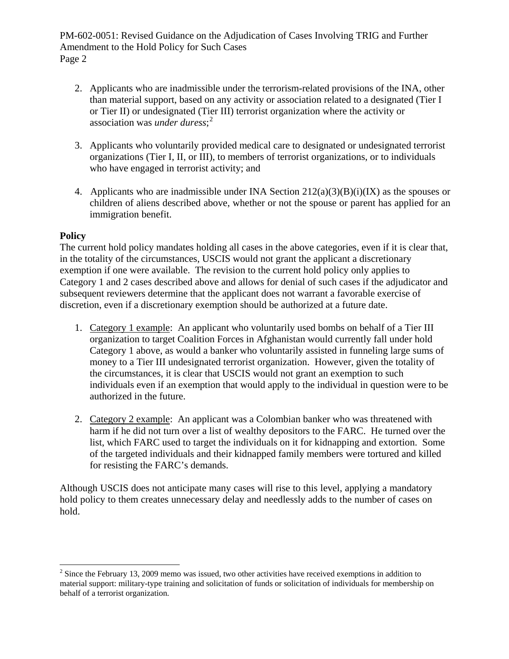PM-602-0051: Revised Guidance on the Adjudication of Cases Involving TRIG and Further Amendment to the Hold Policy for Such Cases Page 2

- 2. Applicants who are inadmissible under the terrorism-related provisions of the INA, other than material support, based on any activity or association related to a designated (Tier I or Tier II) or undesignated (Tier III) terrorist organization where the activity or association was *under duress*; 2
- 3. Applicants who voluntarily provided medical care to designated or undesignated terrorist organizations (Tier I, II, or III), to members of terrorist organizations, or to individuals who have engaged in terrorist activity; and
- 4. Applicants who are inadmissible under INA Section  $212(a)(3)(B)(i)(IX)$  as the spouses or children of aliens described above, whether or not the spouse or parent has applied for an immigration benefit.

# **Policy**

The current hold policy mandates holding all cases in the above categories, even if it is clear that, in the totality of the circumstances, USCIS would not grant the applicant a discretionary exemption if one were available. The revision to the current hold policy only applies to Category 1 and 2 cases described above and allows for denial of such cases if the adjudicator and subsequent reviewers determine that the applicant does not warrant a favorable exercise of discretion, even if a discretionary exemption should be authorized at a future date.

- 1. Category 1 example: An applicant who voluntarily used bombs on behalf of a Tier III organization to target Coalition Forces in Afghanistan would currently fall under hold Category 1 above, as would a banker who voluntarily assisted in funneling large sums of money to a Tier III undesignated terrorist organization. However, given the totality of the circumstances, it is clear that USCIS would not grant an exemption to such individuals even if an exemption that would apply to the individual in question were to be authorized in the future.
- 2. Category 2 example: An applicant was a Colombian banker who was threatened with harm if he did not turn over a list of wealthy depositors to the FARC. He turned over the list, which FARC used to target the individuals on it for kidnapping and extortion. Some of the targeted individuals and their kidnapped family members were tortured and killed for resisting the FARC's demands.

Although USCIS does not anticipate many cases will rise to this level, applying a mandatory hold policy to them creates unnecessary delay and needlessly adds to the number of cases on hold.

<sup>&</sup>lt;sup>2</sup> Since the February 13, 2009 memo was issued, two other activities have received exemptions in addition to material support: military-type training and solicitation of funds or solicitation of individuals for membership on behalf of a terrorist organization.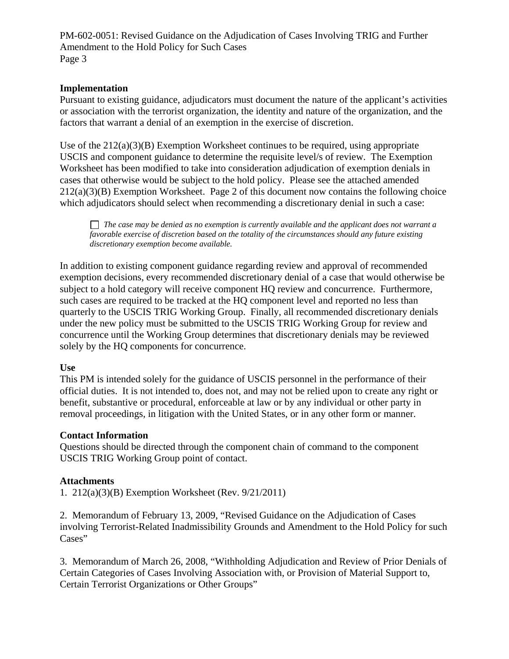PM-602-0051: Revised Guidance on the Adjudication of Cases Involving TRIG and Further Amendment to the Hold Policy for Such Cases Page 3

### **Implementation**

Pursuant to existing guidance, adjudicators must document the nature of the applicant's activities or association with the terrorist organization, the identity and nature of the organization, and the factors that warrant a denial of an exemption in the exercise of discretion.

Use of the  $212(a)(3)(B)$  Exemption Worksheet continues to be required, using appropriate USCIS and component guidance to determine the requisite level/s of review. The Exemption Worksheet has been modified to take into consideration adjudication of exemption denials in cases that otherwise would be subject to the hold policy. Please see the attached amended  $212(a)(3)(B)$  Exemption Worksheet. Page 2 of this document now contains the following choice which adjudicators should select when recommending a discretionary denial in such a case:

*The case may be denied as no exemption is currently available and the applicant does not warrant a favorable exercise of discretion based on the totality of the circumstances should any future existing discretionary exemption become available.*

In addition to existing component guidance regarding review and approval of recommended exemption decisions, every recommended discretionary denial of a case that would otherwise be subject to a hold category will receive component HQ review and concurrence. Furthermore, such cases are required to be tracked at the HQ component level and reported no less than quarterly to the USCIS TRIG Working Group. Finally, all recommended discretionary denials under the new policy must be submitted to the USCIS TRIG Working Group for review and concurrence until the Working Group determines that discretionary denials may be reviewed solely by the HQ components for concurrence.

### **Use**

This PM is intended solely for the guidance of USCIS personnel in the performance of their official duties. It is not intended to, does not, and may not be relied upon to create any right or benefit, substantive or procedural, enforceable at law or by any individual or other party in removal proceedings, in litigation with the United States, or in any other form or manner.

### **Contact Information**

Questions should be directed through the component chain of command to the component USCIS TRIG Working Group point of contact.

### **Attachments**

1. 212(a)(3)(B) Exemption Worksheet (Rev. 9/21/2011)

2. Memorandum of February 13, 2009, "Revised Guidance on the Adjudication of Cases involving Terrorist-Related Inadmissibility Grounds and Amendment to the Hold Policy for such Cases"

3. Memorandum of March 26, 2008, "Withholding Adjudication and Review of Prior Denials of Certain Categories of Cases Involving Association with, or Provision of Material Support to, Certain Terrorist Organizations or Other Groups"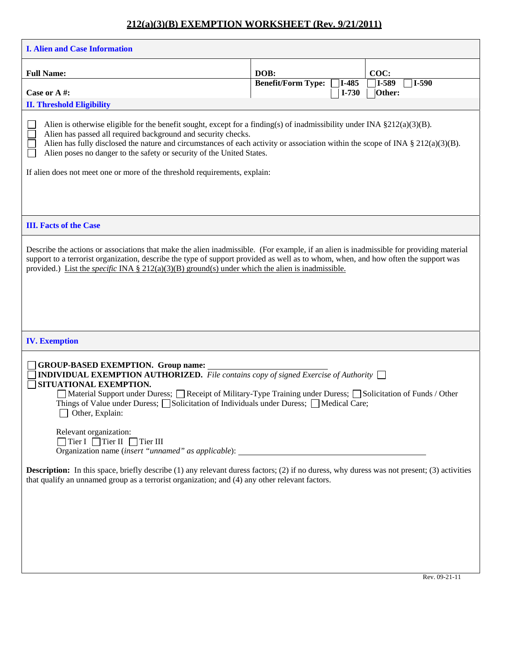# **212(a)(3)(B) EXEMPTION WORKSHEET (Rev. 9/21/2011)**

| <b>I. Alien and Case Information</b>                                                                                                                                                                                                                                                                                                                                                                                                                                                                                                                                |                                   |         |                              |
|---------------------------------------------------------------------------------------------------------------------------------------------------------------------------------------------------------------------------------------------------------------------------------------------------------------------------------------------------------------------------------------------------------------------------------------------------------------------------------------------------------------------------------------------------------------------|-----------------------------------|---------|------------------------------|
| <b>Full Name:</b>                                                                                                                                                                                                                                                                                                                                                                                                                                                                                                                                                   | DOB:<br><b>Benefit/Form Type:</b> | I-485   | COC:<br>$7I-589$<br>$7I-590$ |
| Case or A#:<br><b>II. Threshold Eligibility</b>                                                                                                                                                                                                                                                                                                                                                                                                                                                                                                                     |                                   | $I-730$ | Other:                       |
| Alien is otherwise eligible for the benefit sought, except for a finding(s) of inadmissibility under INA $\S 212(a)(3)(B)$ .<br>Alien has passed all required background and security checks.<br>Alien has fully disclosed the nature and circumstances of each activity or association within the scope of INA § 212(a)(3)(B).<br>Alien poses no danger to the safety or security of the United States.<br>If alien does not meet one or more of the threshold requirements, explain:                                                                              |                                   |         |                              |
| <b>III. Facts of the Case</b>                                                                                                                                                                                                                                                                                                                                                                                                                                                                                                                                       |                                   |         |                              |
| Describe the actions or associations that make the alien inadmissible. (For example, if an alien is inadmissible for providing material<br>support to a terrorist organization, describe the type of support provided as well as to whom, when, and how often the support was<br>provided.) List the <i>specific</i> INA § 212(a)(3)(B) ground(s) under which the alien is inadmissible.                                                                                                                                                                            |                                   |         |                              |
| <b>IV.</b> Exemption                                                                                                                                                                                                                                                                                                                                                                                                                                                                                                                                                |                                   |         |                              |
| <b>GROUP-BASED EXEMPTION. Group name:</b><br><b>INDIVIDUAL EXEMPTION AUTHORIZED.</b> File contains copy of signed Exercise of Authority $\Box$<br>SITUATIONAL EXEMPTION.<br>Material Support under Duress; Receipt of Military-Type Training under Duress; Solicitation of Funds / Other<br>Things of Value under Duress; $\Box$ Solicitation of Individuals under Duress; $\Box$ Medical Care;<br>$\Box$ Other, Explain:<br>Relevant organization:<br>$\Box$ Tier I $\Box$ Tier II $\Box$ Tier III<br>Organization name ( <i>insert "unnamed" as applicable</i> ): |                                   |         |                              |
| <b>Description:</b> In this space, briefly describe (1) any relevant duress factors; (2) if no duress, why duress was not present; (3) activities<br>that qualify an unnamed group as a terrorist organization; and (4) any other relevant factors.                                                                                                                                                                                                                                                                                                                 |                                   |         |                              |
|                                                                                                                                                                                                                                                                                                                                                                                                                                                                                                                                                                     |                                   |         |                              |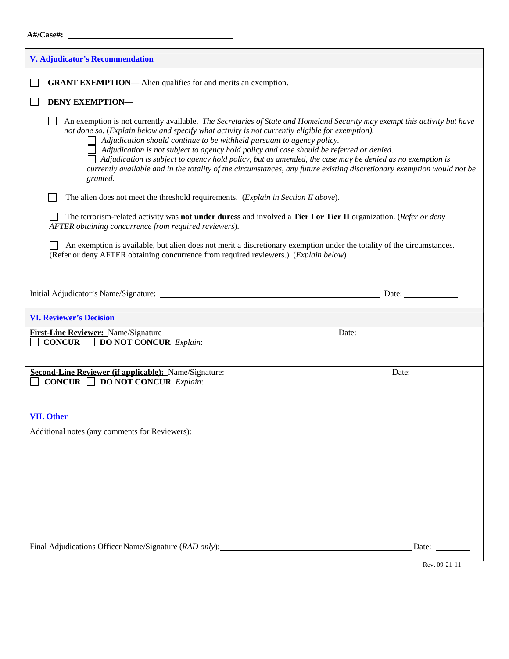# **A#/Case#:**

| <b>V. Adjudicator's Recommendation</b>                                                                                                                                                                                                                                                                                                                                                                                                                                                                                                                                                                                                               |               |
|------------------------------------------------------------------------------------------------------------------------------------------------------------------------------------------------------------------------------------------------------------------------------------------------------------------------------------------------------------------------------------------------------------------------------------------------------------------------------------------------------------------------------------------------------------------------------------------------------------------------------------------------------|---------------|
| <b>GRANT EXEMPTION—</b> Alien qualifies for and merits an exemption.                                                                                                                                                                                                                                                                                                                                                                                                                                                                                                                                                                                 |               |
| <b>DENY EXEMPTION-</b>                                                                                                                                                                                                                                                                                                                                                                                                                                                                                                                                                                                                                               |               |
| An exemption is not currently available. The Secretaries of State and Homeland Security may exempt this activity but have<br>not done so. (Explain below and specify what activity is not currently eligible for exemption).<br>Adjudication should continue to be withheld pursuant to agency policy.<br>Adjudication is not subject to agency hold policy and case should be referred or denied.<br>Adjudication is subject to agency hold policy, but as amended, the case may be denied as no exemption is<br>currently available and in the totality of the circumstances, any future existing discretionary exemption would not be<br>granted. |               |
| The alien does not meet the threshold requirements. (Explain in Section II above).                                                                                                                                                                                                                                                                                                                                                                                                                                                                                                                                                                   |               |
| The terrorism-related activity was <b>not under duress</b> and involved a Tier I or Tier II organization. ( <i>Refer or deny</i><br>AFTER obtaining concurrence from required reviewers).                                                                                                                                                                                                                                                                                                                                                                                                                                                            |               |
| An exemption is available, but alien does not merit a discretionary exemption under the totality of the circumstances.<br>(Refer or deny AFTER obtaining concurrence from required reviewers.) (Explain below)                                                                                                                                                                                                                                                                                                                                                                                                                                       |               |
|                                                                                                                                                                                                                                                                                                                                                                                                                                                                                                                                                                                                                                                      |               |
| <b>VI. Reviewer's Decision</b>                                                                                                                                                                                                                                                                                                                                                                                                                                                                                                                                                                                                                       |               |
| First-Line Reviewer: Name/Signature<br><b>CONCUR</b> $\Box$ <b>DO NOT CONCUR</b> Explain:                                                                                                                                                                                                                                                                                                                                                                                                                                                                                                                                                            | Date:         |
| CONCUR $\Box$ DO NOT CONCUR Explain:                                                                                                                                                                                                                                                                                                                                                                                                                                                                                                                                                                                                                 | Date:         |
|                                                                                                                                                                                                                                                                                                                                                                                                                                                                                                                                                                                                                                                      |               |
| <b>VII. Other</b>                                                                                                                                                                                                                                                                                                                                                                                                                                                                                                                                                                                                                                    |               |
| Additional notes (any comments for Reviewers):                                                                                                                                                                                                                                                                                                                                                                                                                                                                                                                                                                                                       |               |
|                                                                                                                                                                                                                                                                                                                                                                                                                                                                                                                                                                                                                                                      |               |
|                                                                                                                                                                                                                                                                                                                                                                                                                                                                                                                                                                                                                                                      |               |
|                                                                                                                                                                                                                                                                                                                                                                                                                                                                                                                                                                                                                                                      |               |
|                                                                                                                                                                                                                                                                                                                                                                                                                                                                                                                                                                                                                                                      |               |
|                                                                                                                                                                                                                                                                                                                                                                                                                                                                                                                                                                                                                                                      |               |
| Final Adjudications Officer Name/Signature (RAD only):                                                                                                                                                                                                                                                                                                                                                                                                                                                                                                                                                                                               | Date:         |
|                                                                                                                                                                                                                                                                                                                                                                                                                                                                                                                                                                                                                                                      | Rev. 09-21-11 |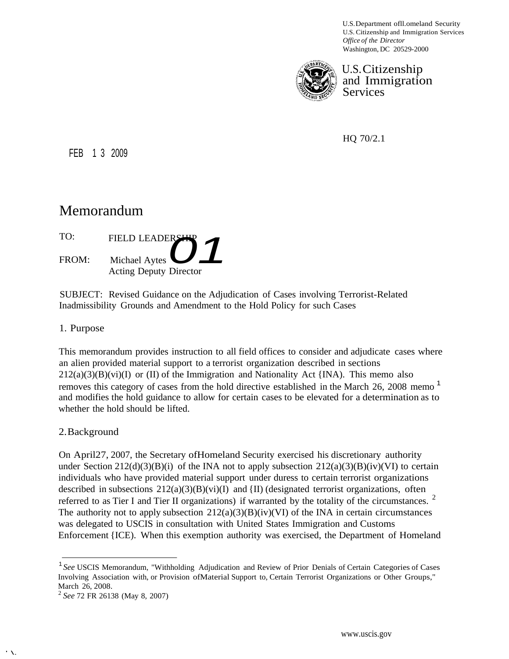U.S.Department ofll.omeland Security U.S. Citizenship and Immigration Services *Office of the Director* Washington, DC 20529-2000



U.S.Citizenship and Immigration Services

HQ 70/2.1

FEB 1 3 2009

# Memorandum

| TO: | FIELD LEADERSHER |  |
|-----|------------------|--|
|     |                  |  |

Michael Aytes **01** FROM: Acting Deputy Director

SUBJECT: Revised Guidance on the Adjudication of Cases involving Terrorist-Related Inadmissibility Grounds and Amendment to the Hold Policy for such Cases

### 1. Purpose

This memorandum provides instruction to all field offices to consider and adjudicate cases where an alien provided material support to a terrorist organization described in sections  $212(a)(3)(B)(vi)(I)$  or (II) of the Immigration and Nationality Act {INA). This memo also removes this category of cases from the hold directive established in the March 26, 2008 memo<sup>1</sup> and modifies the hold guidance to allow for certain cases to be elevated for a determination as to whether the hold should be lifted.

### 2.Background

On April27, 2007, the Secretary ofHomeland Security exercised his discretionary authority under Section 212(d)(3)(B)(i) of the INA not to apply subsection  $212(a)(3)(B)(iv)(VI)$  to certain individuals who have provided material support under duress to certain terrorist organizations described in subsections  $212(a)(3)(B)(vi)(I)$  and  $\{II\}$  (designated terrorist organizations, often referred to as Tier I and Tier II organizations) if warranted by the totality of the circumstances. <sup>2</sup> The authority not to apply subsection  $212(a)(3)(B)(iv)(VI)$  of the INA in certain circumstances was delegated to USCIS in consultation with United States Immigration and Customs Enforcement {ICE). When this exemption authority was exercised, the Department of Homeland

 $' \times$ 

<sup>1</sup>*See* USCIS Memorandum, "Withholding Adjudication and Review of Prior Denials of Certain Categories of Cases Involving Association with, or Provision ofMaterial Support to, Certain Terrorist Organizations or Other Groups," March 26, 2008.

<sup>2</sup>*See* 72 FR 26138 (May 8, 2007)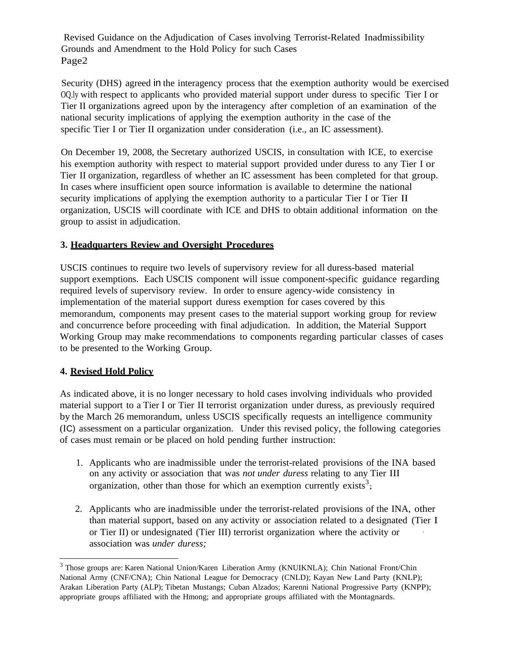Revised Guidance on the Adjudication of Cases involving Terrorist-Related Inadmissibility Grounds and Amendment to the Hold Policy for such Cases Page2

Security (DHS) agreed in the interagency process that the exemption authority would be exercised OQ.ly with respect to applicants who provided material support under duress to specific Tier I or Tier II organizations agreed upon by the interagency after completion of an examination of the national security implications of applying the exemption authority in the case of the specific Tier I or Tier II organization under consideration (i.e., an IC assessment).

On December 19, 2008, the Secretary authorized USCIS, in consultation with ICE, to exercise his exemption authority with respect to material support provided under duress to any Tier I or Tier II organization, regardless of whether an IC assessment has been completed for that group. In cases where insufficient open source information is available to determine the national security implications of applying the exemption authority to a particular Tier I or Tier II organization, USCIS will coordinate with ICE and DHS to obtain additional information on the group to assist in adjudication.

### **3. Headquarters Review and Oversight Procedures**

USCIS continues to require two levels of supervisory review for all duress-based material support exemptions. Each USCIS component will issue component-specific guidance regarding required levels of supervisory review. In order to ensure agency-wide consistency in implementation of the material support duress exemption for cases covered by this memorandum, components may present cases to the material support working group for review and concurrence before proceeding with final adjudication. In addition, the Material Support Working Group may make recommendations to components regarding particular classes of cases to be presented to the Working Group.

### **4. Revised Hold Policy**

As indicated above, it is no longer necessary to hold cases involving individuals who provided material support to a Tier I or Tier II terrorist organization under duress, as previously required by the March 26 memorandum, unless USCIS specifically requests an intelligence community (IC) assessment on a particular organization. Under this revised policy, the following categories of cases must remain or be placed on hold pending further instruction:

- 1. Applicants who are inadmissible under the terrorist-related provisions of the INA based on any activity or association that was *not under duress* relating to any Tier III organization, other than those for which an exemption currently exists<sup>3</sup>;
- 2. Applicants who are inadmissible under the terrorist-related provisions of the INA, other than material support, based on any activity or association related to a designated (Tier I or Tier II) or undesignated (Tier III) terrorist organization where the activity or · association was *under duress;*

<sup>3</sup> Those groups are: Karen National Union/Karen Liberation Army (KNUIKNLA); Chin National Front/Chin National Army (CNF/CNA); Chin National League for Democracy (CNLD); Kayan New Land Party (KNLP); Arakan Liberation Party (ALP); Tibetan Mustangs; Cuban Alzados; Karenni National Progressive Party (KNPP); appropriate groups affiliated with the Hmong; and appropriate groups affiliated with the Montagnards.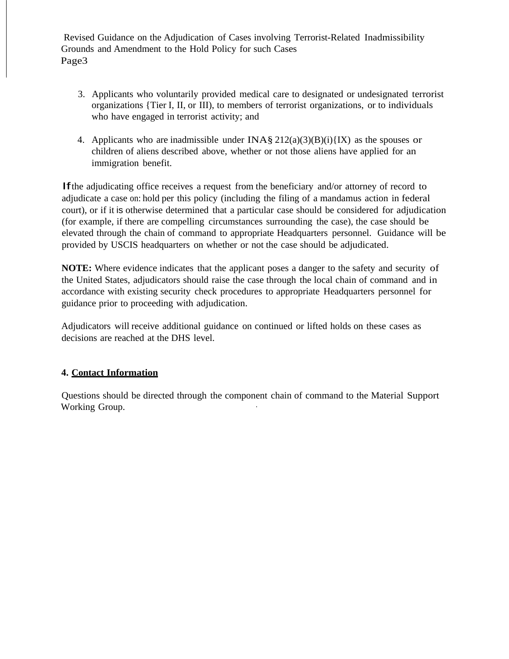Revised Guidance on the Adjudication of Cases involving Terrorist-Related Inadmissibility Grounds and Amendment to the Hold Policy for such Cases Page3

- 3. Applicants who voluntarily provided medical care to designated or undesignated terrorist organizations {Tier I, II, or III), to members of terrorist organizations, or to individuals who have engaged in terrorist activity; and
- 4. Applicants who are inadmissible under  $INA\$  $212(a)(3)(B)(i){K}$  as the spouses or children of aliens described above, whether or not those aliens have applied for an immigration benefit.

Ifthe adjudicating office receives a request from the beneficiary and/or attorney of record to adjudicate a case on: hold per this policy (including the filing of a mandamus action in federal court), or if it is otherwise determined that a particular case should be considered for adjudication (for example, if there are compelling circumstances surrounding the case), the case should be elevated through the chain of command to appropriate Headquarters personnel. Guidance will be provided by USCIS headquarters on whether or not the case should be adjudicated.

**NOTE:** Where evidence indicates that the applicant poses a danger to the safety and security of the United States, adjudicators should raise the case through the local chain of command and in accordance with existing security check procedures to appropriate Headquarters personnel for guidance prior to proceeding with adjudication.

Adjudicators will receive additional guidance on continued or lifted holds on these cases as decisions are reached at the DHS level.

### **4. Contact Information**

Questions should be directed through the component chain of command to the Material Support Working Group.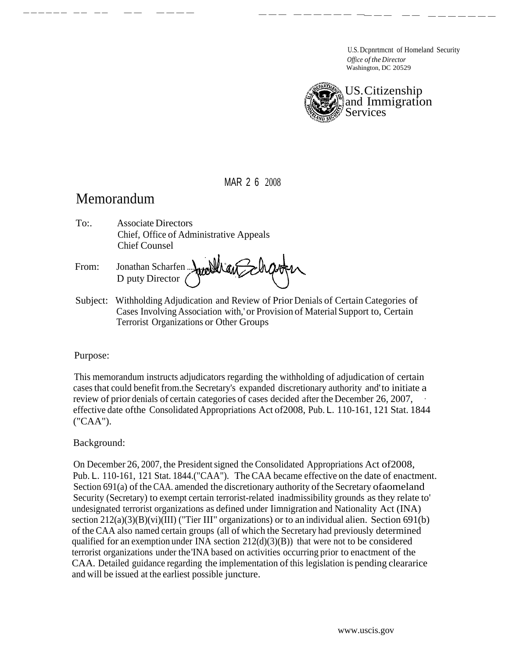U.S. Dcpnrtmcnt of Homeland Security *Office of the Director* Washington, DC 20529



MAR 2 6 2008

------ -- -- -- ---- --- ------ ---- -- -------

# Memorandum

To:. Associate Directors Chief, Office of Administrative Appeals Chief Counsel

From: Jonathan Scharfen ... D puty Director

Subject: Withholding Adjudication and Review of Prior Denials of Certain Categories of Cases Involving Association with,' or Provision of Material Support to, Certain Terrorist Organizations or Other Groups

# Purpose:

This memorandum instructs adjudicators regarding the withholding of adjudication of certain cases that could benefit from.the Secretary's expanded discretionary authority and' to initiate a review of prior denials of certain categories of cases decided after the December 26, 2007, effective date ofthe Consolidated Appropriations Act of2008, Pub. L. 110-161, 121 Stat. 1844 ("CAA").

# Background:

On December 26, 2007, the President signed the Consolidated Appropriations Act of2008, Pub. L. 110-161, 121 Stat. 1844.("CAA"). The CAA became effective on the date of enactment. Section 691(a) of the CAA. amended the discretionary authority of the Secretary ofaomeland Security (Secretary) to exempt certain terrorist-related inadmissibility grounds as they relate to' undesignated terrorist organizations as defined under Iimnigration and Nationality Act (INA) section  $212(a)(3)(B)(vi)(III)$  ("Tier III" organizations) or to an individual alien. Section 691(b) of the CAA also named certain groups (all of which the Secretary had previously determined qualified for an exemption under INA section  $212(d)(3)(B)$ ) that were not to be considered terrorist organizations under the'INA based on activities occurring prior to enactment of the CAA. Detailed guidance regarding the implementation of this legislation is pending cleararice and will be issued at the earliest possible juncture.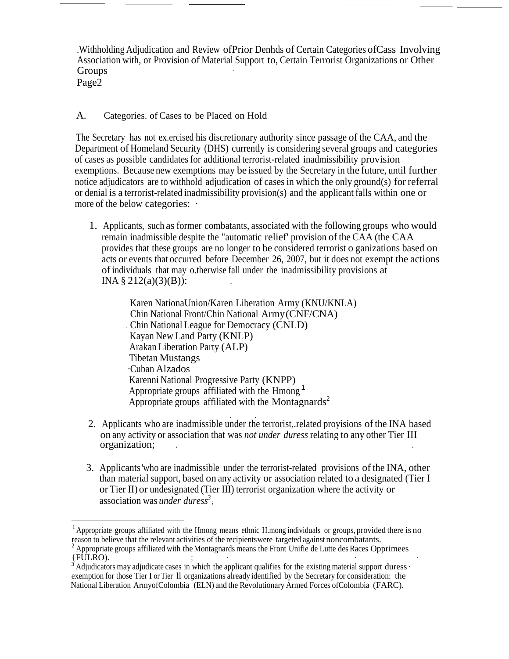.Withholding Adjudication and Review ofPrior Denhds of Certain Categories ofCass Involving Association with, or Provision of Material Support to, Certain Terrorist Organizations or Other Groups **b** 

Page2

### A. Categories. of Cases to be Placed on Hold

The Secretary has not ex.ercised his discretionary authority since passage of the CAA, and the Department of Homeland Security (DHS) currently is considering several groups and categories of cases as possible candidates for additional terrorist-related inadmissibility provision exemptions. Because new exemptions may be issued by the Secretary in the future, until further notice adjudicators are to withhold adjudication of cases in which the only ground(s) for referral or denial is a terrorist-related inadmissibility provision(s) and the applicant falls within one or more of the below categories:  $\cdot$ 

1. Applicants, such as former combatants, associated with the following groups who would remain inadmissible despite the "automatic relief' provision of the CAA (the CAA provides that these groups are no longer to be considered terrorist o ganizations based on acts or events that occurred before December 26, 2007, but it does not exempt the actions of individuals that may o.therwise fall under the inadmissibility provisions at INA §  $212(a)(3)(B)$ :

> Karen NationaUnion/Karen Liberation Army (KNU/KNLA) Chin National Front/Chin National Army (CNF/CNA) . Chin National League for Democracy (CNLD) Kayan New Land Party (KNLP) Arakan Liberation Party (ALP) Tibetan Mustangs ·Cuban Alzados Karenni National Progressive Party (KNPP) Appropriate groups affiliated with the Hmong <sup>1</sup> Appropriate groups affiliated with the Montagnards<sup>2</sup>

- . . 2. Applicants who are inadmissible under the terrorist,.related proyisions of the INA based on any activity or association that was *not under duress* relating to any other Tier III organization;
- 3. Applicants'who are inadmissible under the terrorist-related provisions of the INA, other than material support, based on any activity or association related to a designated (Tier I or Tier II) or undesignated (Tier III) terrorist organization where the activity or association was *under duress<sup>3</sup>*;

<sup>&</sup>lt;sup>1</sup> Appropriate groups affiliated with the Hmong means ethnic H.mong individuals or groups, provided there is no reason to believe that the relevant activities of the recipientswere targeted against noncombatants.

<sup>&</sup>lt;sup>2</sup> Appropriate groups affiliated with the Montagnards means the Front Unifie de Lutte des Races Opprimees {FULRO}.

Adjudicators may adjudicate cases in which the applicant qualifies for the existing material support duress · exemption for those Tier I or Tier ll organizations already identified by the Secretary for consideration: the National Liberation ArmyofColombia (ELN) and the Revolutionary Armed Forces ofColombia (FARC).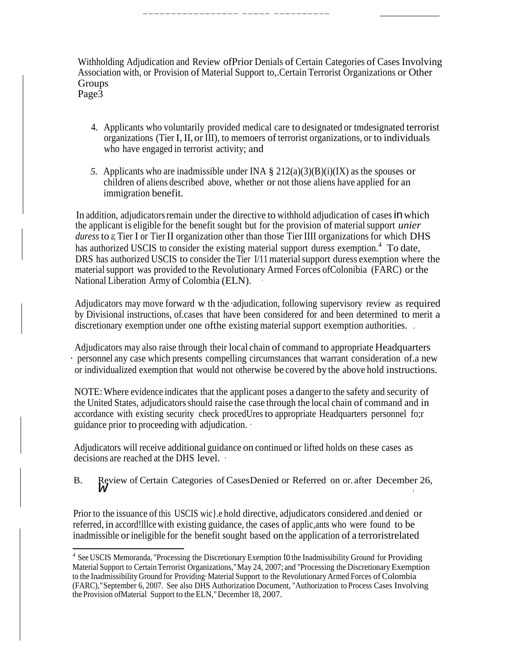Withholding Adjudication and Review ofPrior Denials of Certain Categories of Cases Involving Association with, or Provision of Material Support to,.Certain Terrorist Organizations or Other Groups

----------------- ----- ----------

Page3

- 4. Applicants who voluntarily provided medical care to designated or tmdesignated terrorist organizations (Tier I, II, or III), to memoers of terrorist organizations, or to individuals who have engaged in terrorist activity; and
- *5.* Applicants who are inadmissible under INA § 212(a)(3)(B)(i)(IX) as the spouses or children of aliens described above, whether or not those aliens have applied for an immigration benefit.

In addition, adjudicators remain under the directive to withhold adjudication of cases in which the applicant is eligible for the benefit sought but for the provision of material support *unier duress* to a; Tier I or Tier II organization other than those Tier IIII organizations for which DHS has authorized USCIS to consider the existing material support duress exemption.<sup>4</sup> To date, DRS has authorized USCIS to consider the Tier I/11 material support duress exemption where the material support was provided to the Revolutionary Armed Forces ofColonibia (FARC) or the National Liberation Army of Colombia (ELN). ·

Adjudicators may move forward w th the ·adjudication, following supervisory review as required by Divisional instructions, of.cases that have been considered for and been determined to merit a discretionary exemption under one ofthe existing material support exemption authorities. .

Adjudicators may also raise through their local chain of command to appropriate Headquarters · personnel any case which presents compelling circumstances that warrant consideration of.a new or individualized exemption that would not otherwise be covered by the above hold instructions.

NOTE:Where evidence indicates that the applicant poses a danger to the safety and security of the United States, adjudicators should raise the case through the local chain of command and in accordance with existing security check procedUres to appropriate Headquarters personnel fo;r guidance prior to proceeding with adjudication. ·

Adjudicators will receive additional guidance on continued or lifted holds on these cases as decisions are reached at the DHS level. ·

B. Review of Certain Categories of CasesDenied or Referred on or after December 26, W

Prior to the issuance of this USCIS wic}. And directive, adjudicators considered .and denied or referred, in accord!lllce with existing guidance, the cases of applic,ants who were found to be inadmissible orineligible for the benefit sought based on the application of a terroristrelated

<sup>&</sup>lt;sup>4</sup> See USCIS Memoranda, "Processing the Discretionary Exemption to the Inadmissibility Ground for Providing Material Support to CertainTerrorist Organizations,"May 24, 2007; and ''Processing the Discretionary Exemption to the Inadmissibility Ground for Providing·Material Support to the Revolutionary Armed Forces of Colombia (FARC),"September 6, 2007. See also DHS Authorization Document, "Authorization to Process Cases Involving the Provision ofMaterial Support to the ELN,"December 18, 2007.